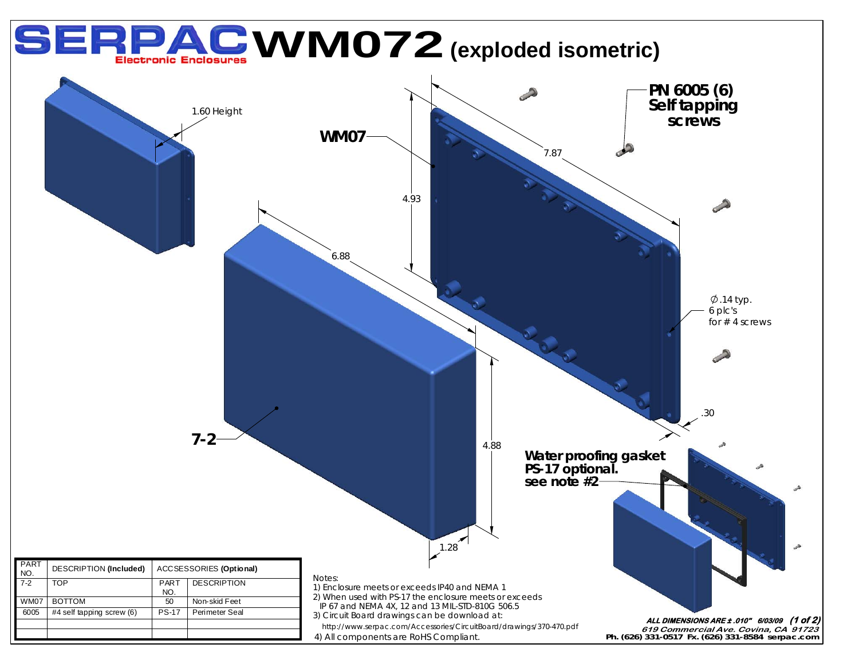